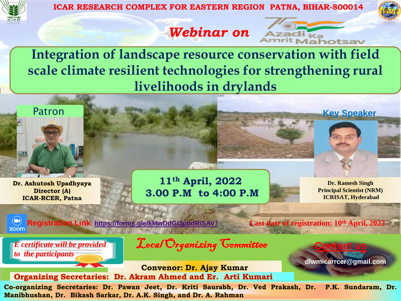

**ICAR RESEARCH COMPLEX FOR EASTERN REGION PATNA, BIHAR-800014**

adi $_{\rm Ka}$ 

*Webinar on*

**Integration of landscape resource conservation with field scale climate resilient technologies for strengthening rural livelihoods in drylands**



**Convenor: Dr. Ajay Kumar Organizing Secretaries: Dr. Akram Ahmed and Er. Arti Kumari**

**Co-organizing Secretaries: Dr. Pawan Jeet, Dr. Kriti Saurabh, Dr. Ved Prakash, Dr. P.K. Sundaram, Dr. Manibhushan, Dr. Bikash Sarkar, Dr. A.K. Singh, and Dr. A. Rahman**